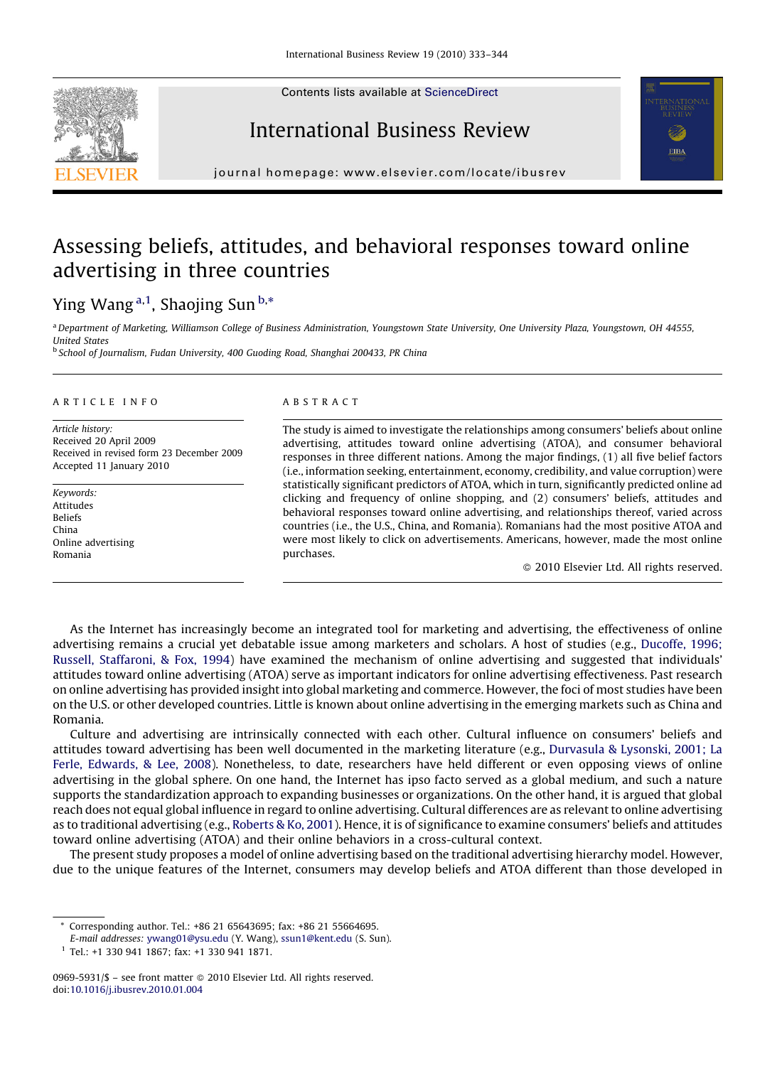Contents lists available at [ScienceDirect](http://www.sciencedirect.com/science/journal/09695931)







journal homepage: www.elsevier.com/locate/ibusrev

## Assessing beliefs, attitudes, and behavioral responses toward online advertising in three countries

### Ying Wang <sup>a,1</sup>, Shaojing Sun <sup>b,\*</sup>

a Department of Marketing, Williamson College of Business Administration, Youngstown State University, One University Plaza, Youngstown, OH 44555, United States

<sup>b</sup> School of Journalism, Fudan University, 400 Guoding Road, Shanghai 200433, PR China

#### ARTICLE INFO

Article history: Received 20 April 2009 Received in revised form 23 December 2009 Accepted 11 January 2010

Keywords: Attitudes Beliefs China Online advertising Romania

#### ABSTRACT

The study is aimed to investigate the relationships among consumers' beliefs about online advertising, attitudes toward online advertising (ATOA), and consumer behavioral responses in three different nations. Among the major findings, (1) all five belief factors (i.e., information seeking, entertainment, economy, credibility, and value corruption) were statistically significant predictors of ATOA, which in turn, significantly predicted online ad clicking and frequency of online shopping, and (2) consumers' beliefs, attitudes and behavioral responses toward online advertising, and relationships thereof, varied across countries (i.e., the U.S., China, and Romania). Romanians had the most positive ATOA and were most likely to click on advertisements. Americans, however, made the most online purchases.

- 2010 Elsevier Ltd. All rights reserved.

As the Internet has increasingly become an integrated tool for marketing and advertising, the effectiveness of online advertising remains a crucial yet debatable issue among marketers and scholars. A host of studies (e.g., [Ducoffe, 1996;](#page--1-0) [Russell, Staffaroni, & Fox, 1994](#page--1-0)) have examined the mechanism of online advertising and suggested that individuals' attitudes toward online advertising (ATOA) serve as important indicators for online advertising effectiveness. Past research on online advertising has provided insight into global marketing and commerce. However, the foci of most studies have been on the U.S. or other developed countries. Little is known about online advertising in the emerging markets such as China and Romania.

Culture and advertising are intrinsically connected with each other. Cultural influence on consumers' beliefs and attitudes toward advertising has been well documented in the marketing literature (e.g., [Durvasula & Lysonski, 2001; La](#page--1-0) [Ferle, Edwards, & Lee, 2008](#page--1-0)). Nonetheless, to date, researchers have held different or even opposing views of online advertising in the global sphere. On one hand, the Internet has ipso facto served as a global medium, and such a nature supports the standardization approach to expanding businesses or organizations. On the other hand, it is argued that global reach does not equal global influence in regard to online advertising. Cultural differences are as relevant to online advertising as to traditional advertising (e.g., [Roberts & Ko, 2001\)](#page--1-0). Hence, it is of significance to examine consumers' beliefs and attitudes toward online advertising (ATOA) and their online behaviors in a cross-cultural context.

The present study proposes a model of online advertising based on the traditional advertising hierarchy model. However, due to the unique features of the Internet, consumers may develop beliefs and ATOA different than those developed in

<sup>\*</sup> Corresponding author. Tel.: +86 21 65643695; fax: +86 21 55664695.

E-mail addresses: [ywang01@ysu.edu](mailto:ywang01@ysu.edu) (Y. Wang), [ssun1@kent.edu](mailto:ssun1@kent.edu) (S. Sun).

<sup>1</sup> Tel.: +1 330 941 1867; fax: +1 330 941 1871.

<sup>0969-5931/\$ –</sup> see front matter © 2010 Elsevier Ltd. All rights reserved. doi:[10.1016/j.ibusrev.2010.01.004](http://dx.doi.org/10.1016/j.ibusrev.2010.01.004)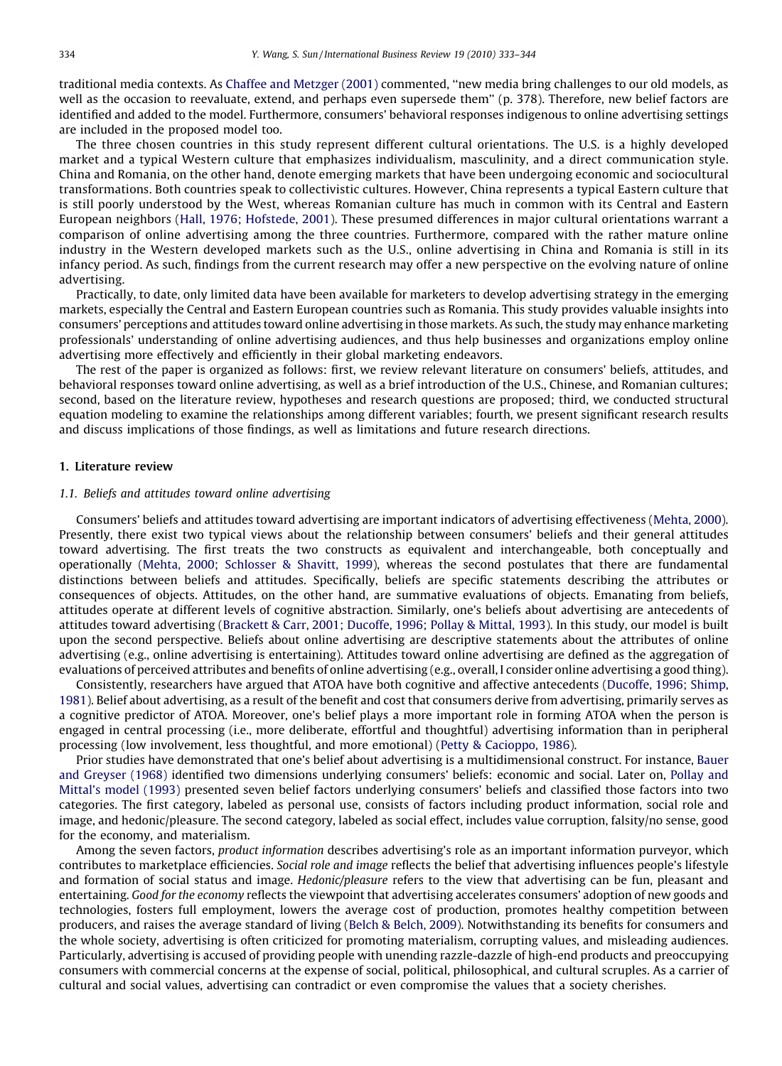traditional media contexts. As [Chaffee and Metzger \(2001\)](#page--1-0) commented, ''new media bring challenges to our old models, as well as the occasion to reevaluate, extend, and perhaps even supersede them'' (p. 378). Therefore, new belief factors are identified and added to the model. Furthermore, consumers' behavioral responses indigenous to online advertising settings are included in the proposed model too.

The three chosen countries in this study represent different cultural orientations. The U.S. is a highly developed market and a typical Western culture that emphasizes individualism, masculinity, and a direct communication style. China and Romania, on the other hand, denote emerging markets that have been undergoing economic and sociocultural transformations. Both countries speak to collectivistic cultures. However, China represents a typical Eastern culture that is still poorly understood by the West, whereas Romanian culture has much in common with its Central and Eastern European neighbors [\(Hall, 1976; Hofstede, 2001](#page--1-0)). These presumed differences in major cultural orientations warrant a comparison of online advertising among the three countries. Furthermore, compared with the rather mature online industry in the Western developed markets such as the U.S., online advertising in China and Romania is still in its infancy period. As such, findings from the current research may offer a new perspective on the evolving nature of online advertising.

Practically, to date, only limited data have been available for marketers to develop advertising strategy in the emerging markets, especially the Central and Eastern European countries such as Romania. This study provides valuable insights into consumers' perceptions and attitudes toward online advertising in those markets. As such, the study may enhance marketing professionals' understanding of online advertising audiences, and thus help businesses and organizations employ online advertising more effectively and efficiently in their global marketing endeavors.

The rest of the paper is organized as follows: first, we review relevant literature on consumers' beliefs, attitudes, and behavioral responses toward online advertising, as well as a brief introduction of the U.S., Chinese, and Romanian cultures; second, based on the literature review, hypotheses and research questions are proposed; third, we conducted structural equation modeling to examine the relationships among different variables; fourth, we present significant research results and discuss implications of those findings, as well as limitations and future research directions.

#### 1. Literature review

#### 1.1. Beliefs and attitudes toward online advertising

Consumers' beliefs and attitudes toward advertising are important indicators of advertising effectiveness ([Mehta, 2000](#page--1-0)). Presently, there exist two typical views about the relationship between consumers' beliefs and their general attitudes toward advertising. The first treats the two constructs as equivalent and interchangeable, both conceptually and operationally [\(Mehta, 2000; Schlosser & Shavitt, 1999\)](#page--1-0), whereas the second postulates that there are fundamental distinctions between beliefs and attitudes. Specifically, beliefs are specific statements describing the attributes or consequences of objects. Attitudes, on the other hand, are summative evaluations of objects. Emanating from beliefs, attitudes operate at different levels of cognitive abstraction. Similarly, one's beliefs about advertising are antecedents of attitudes toward advertising [\(Brackett & Carr, 2001; Ducoffe, 1996; Pollay & Mittal, 1993](#page--1-0)). In this study, our model is built upon the second perspective. Beliefs about online advertising are descriptive statements about the attributes of online advertising (e.g., online advertising is entertaining). Attitudes toward online advertising are defined as the aggregation of evaluations of perceived attributes and benefits of online advertising (e.g., overall, I consider online advertising a good thing).

Consistently, researchers have argued that ATOA have both cognitive and affective antecedents ([Ducoffe, 1996; Shimp,](#page--1-0) [1981](#page--1-0)). Belief about advertising, as a result of the benefit and cost that consumers derive from advertising, primarily serves as a cognitive predictor of ATOA. Moreover, one's belief plays a more important role in forming ATOA when the person is engaged in central processing (i.e., more deliberate, effortful and thoughtful) advertising information than in peripheral processing (low involvement, less thoughtful, and more emotional) ([Petty & Cacioppo, 1986\)](#page--1-0).

Prior studies have demonstrated that one's belief about advertising is a multidimensional construct. For instance, [Bauer](#page--1-0) [and Greyser \(1968\)](#page--1-0) identified two dimensions underlying consumers' beliefs: economic and social. Later on, [Pollay and](#page--1-0) [Mittal's model \(1993\)](#page--1-0) presented seven belief factors underlying consumers' beliefs and classified those factors into two categories. The first category, labeled as personal use, consists of factors including product information, social role and image, and hedonic/pleasure. The second category, labeled as social effect, includes value corruption, falsity/no sense, good for the economy, and materialism.

Among the seven factors, product information describes advertising's role as an important information purveyor, which contributes to marketplace efficiencies. Social role and image reflects the belief that advertising influences people's lifestyle and formation of social status and image. Hedonic/pleasure refers to the view that advertising can be fun, pleasant and entertaining. Good for the economy reflects the viewpoint that advertising accelerates consumers' adoption of new goods and technologies, fosters full employment, lowers the average cost of production, promotes healthy competition between producers, and raises the average standard of living ([Belch & Belch, 2009](#page--1-0)). Notwithstanding its benefits for consumers and the whole society, advertising is often criticized for promoting materialism, corrupting values, and misleading audiences. Particularly, advertising is accused of providing people with unending razzle-dazzle of high-end products and preoccupying consumers with commercial concerns at the expense of social, political, philosophical, and cultural scruples. As a carrier of cultural and social values, advertising can contradict or even compromise the values that a society cherishes.